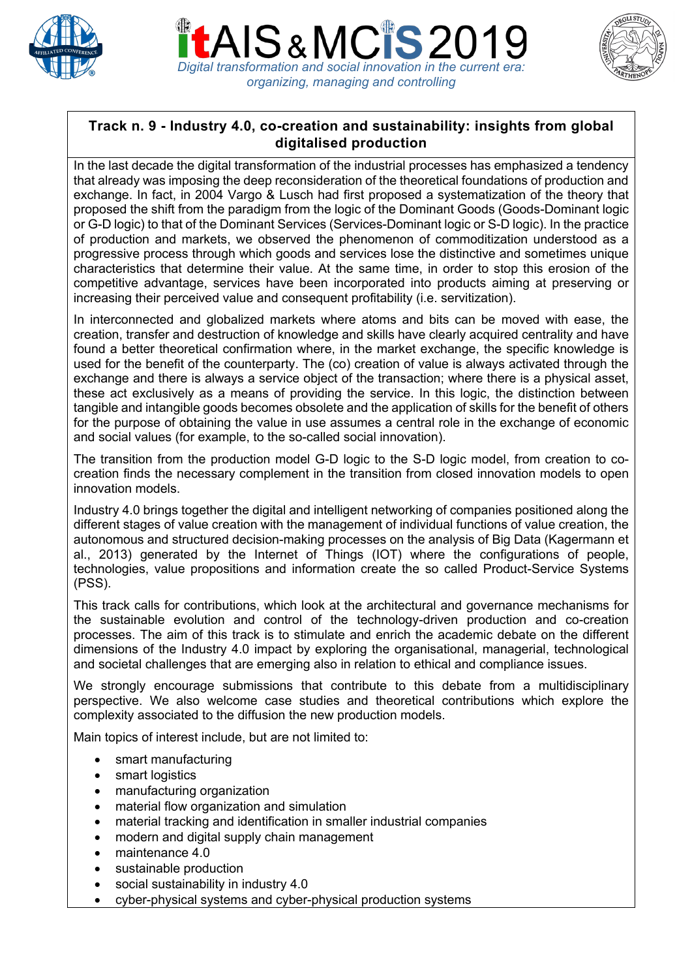





## **Track n. 9 - Industry 4.0, co-creation and sustainability: insights from global digitalised production**

In the last decade the digital transformation of the industrial processes has emphasized a tendency that already was imposing the deep reconsideration of the theoretical foundations of production and exchange. In fact, in 2004 Vargo & Lusch had first proposed a systematization of the theory that proposed the shift from the paradigm from the logic of the Dominant Goods (Goods-Dominant logic or G-D logic) to that of the Dominant Services (Services-Dominant logic or S-D logic). In the practice of production and markets, we observed the phenomenon of commoditization understood as a progressive process through which goods and services lose the distinctive and sometimes unique characteristics that determine their value. At the same time, in order to stop this erosion of the competitive advantage, services have been incorporated into products aiming at preserving or increasing their perceived value and consequent profitability (i.e. servitization).

In interconnected and globalized markets where atoms and bits can be moved with ease, the creation, transfer and destruction of knowledge and skills have clearly acquired centrality and have found a better theoretical confirmation where, in the market exchange, the specific knowledge is used for the benefit of the counterparty. The (co) creation of value is always activated through the exchange and there is always a service object of the transaction; where there is a physical asset, these act exclusively as a means of providing the service. In this logic, the distinction between tangible and intangible goods becomes obsolete and the application of skills for the benefit of others for the purpose of obtaining the value in use assumes a central role in the exchange of economic and social values (for example, to the so-called social innovation).

The transition from the production model G-D logic to the S-D logic model, from creation to cocreation finds the necessary complement in the transition from closed innovation models to open innovation models.

Industry 4.0 brings together the digital and intelligent networking of companies positioned along the different stages of value creation with the management of individual functions of value creation, the autonomous and structured decision-making processes on the analysis of Big Data (Kagermann et al., 2013) generated by the Internet of Things (IOT) where the configurations of people, technologies, value propositions and information create the so called Product-Service Systems (PSS).

This track calls for contributions, which look at the architectural and governance mechanisms for the sustainable evolution and control of the technology-driven production and co-creation processes. The aim of this track is to stimulate and enrich the academic debate on the different dimensions of the Industry 4.0 impact by exploring the organisational, managerial, technological and societal challenges that are emerging also in relation to ethical and compliance issues.

We strongly encourage submissions that contribute to this debate from a multidisciplinary perspective. We also welcome case studies and theoretical contributions which explore the complexity associated to the diffusion the new production models.

Main topics of interest include, but are not limited to:

- smart manufacturing
- smart logistics
- manufacturing organization
- material flow organization and simulation
- material tracking and identification in smaller industrial companies
- modern and digital supply chain management
- maintenance 4.0
- sustainable production
- social sustainability in industry 4.0
- cyber-physical systems and cyber-physical production systems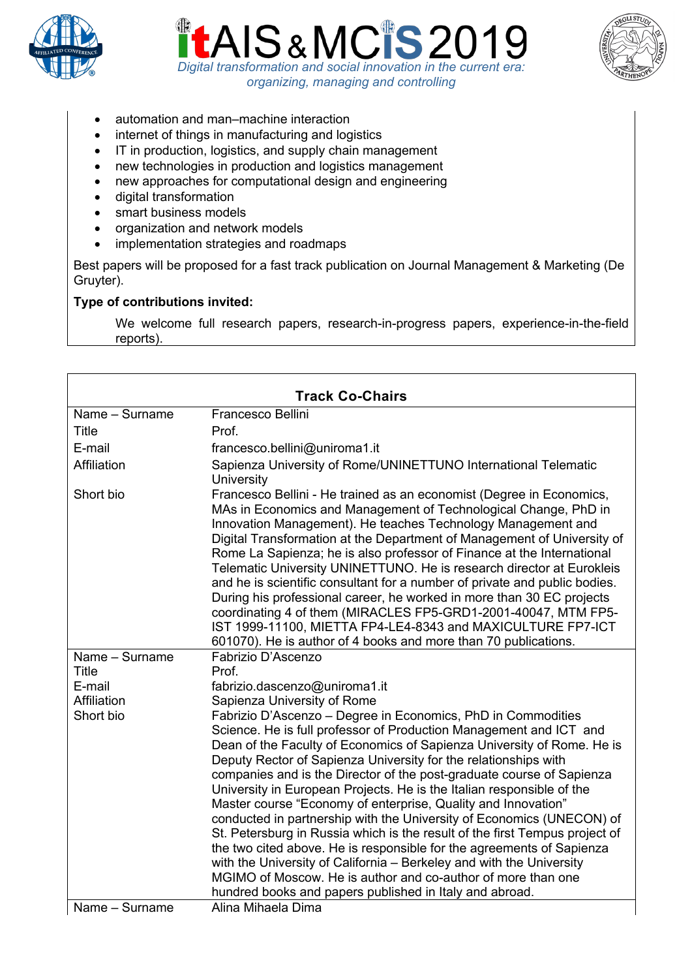





- automation and man–machine interaction
- internet of things in manufacturing and logistics
- IT in production, logistics, and supply chain management
- new technologies in production and logistics management
- new approaches for computational design and engineering
- digital transformation
- smart business models
- organization and network models
- implementation strategies and roadmaps

Best papers will be proposed for a fast track publication on Journal Management & Marketing (De Gruyter).

## **Type of contributions invited:**

We welcome full research papers, research-in-progress papers, experience-in-the-field reports).

| <b>Track Co-Chairs</b> |                                                                                                                                                                                                                                                                                                                                                                                                                                                                                                                                                                                                                                                                                                                                                                                                                                                                                                                                        |  |
|------------------------|----------------------------------------------------------------------------------------------------------------------------------------------------------------------------------------------------------------------------------------------------------------------------------------------------------------------------------------------------------------------------------------------------------------------------------------------------------------------------------------------------------------------------------------------------------------------------------------------------------------------------------------------------------------------------------------------------------------------------------------------------------------------------------------------------------------------------------------------------------------------------------------------------------------------------------------|--|
| Name - Surname         | Francesco Bellini                                                                                                                                                                                                                                                                                                                                                                                                                                                                                                                                                                                                                                                                                                                                                                                                                                                                                                                      |  |
|                        | Prof.                                                                                                                                                                                                                                                                                                                                                                                                                                                                                                                                                                                                                                                                                                                                                                                                                                                                                                                                  |  |
| <b>Title</b>           |                                                                                                                                                                                                                                                                                                                                                                                                                                                                                                                                                                                                                                                                                                                                                                                                                                                                                                                                        |  |
| E-mail                 | francesco.bellini@uniroma1.it                                                                                                                                                                                                                                                                                                                                                                                                                                                                                                                                                                                                                                                                                                                                                                                                                                                                                                          |  |
| Affiliation            | Sapienza University of Rome/UNINETTUNO International Telematic<br>University                                                                                                                                                                                                                                                                                                                                                                                                                                                                                                                                                                                                                                                                                                                                                                                                                                                           |  |
| Short bio              | Francesco Bellini - He trained as an economist (Degree in Economics,<br>MAs in Economics and Management of Technological Change, PhD in<br>Innovation Management). He teaches Technology Management and<br>Digital Transformation at the Department of Management of University of<br>Rome La Sapienza; he is also professor of Finance at the International<br>Telematic University UNINETTUNO. He is research director at Eurokleis<br>and he is scientific consultant for a number of private and public bodies.<br>During his professional career, he worked in more than 30 EC projects<br>coordinating 4 of them (MIRACLES FP5-GRD1-2001-40047, MTM FP5-<br>IST 1999-11100, MIETTA FP4-LE4-8343 and MAXICULTURE FP7-ICT<br>601070). He is author of 4 books and more than 70 publications.                                                                                                                                       |  |
| Name - Surname         | Fabrizio D'Ascenzo                                                                                                                                                                                                                                                                                                                                                                                                                                                                                                                                                                                                                                                                                                                                                                                                                                                                                                                     |  |
| Title                  | Prof.                                                                                                                                                                                                                                                                                                                                                                                                                                                                                                                                                                                                                                                                                                                                                                                                                                                                                                                                  |  |
| E-mail                 | fabrizio.dascenzo@uniroma1.it                                                                                                                                                                                                                                                                                                                                                                                                                                                                                                                                                                                                                                                                                                                                                                                                                                                                                                          |  |
| Affiliation            | Sapienza University of Rome                                                                                                                                                                                                                                                                                                                                                                                                                                                                                                                                                                                                                                                                                                                                                                                                                                                                                                            |  |
| Short bio              | Fabrizio D'Ascenzo - Degree in Economics, PhD in Commodities<br>Science. He is full professor of Production Management and ICT and<br>Dean of the Faculty of Economics of Sapienza University of Rome. He is<br>Deputy Rector of Sapienza University for the relationships with<br>companies and is the Director of the post-graduate course of Sapienza<br>University in European Projects. He is the Italian responsible of the<br>Master course "Economy of enterprise, Quality and Innovation"<br>conducted in partnership with the University of Economics (UNECON) of<br>St. Petersburg in Russia which is the result of the first Tempus project of<br>the two cited above. He is responsible for the agreements of Sapienza<br>with the University of California - Berkeley and with the University<br>MGIMO of Moscow. He is author and co-author of more than one<br>hundred books and papers published in Italy and abroad. |  |
| Name - Surname         | Alina Mihaela Dima                                                                                                                                                                                                                                                                                                                                                                                                                                                                                                                                                                                                                                                                                                                                                                                                                                                                                                                     |  |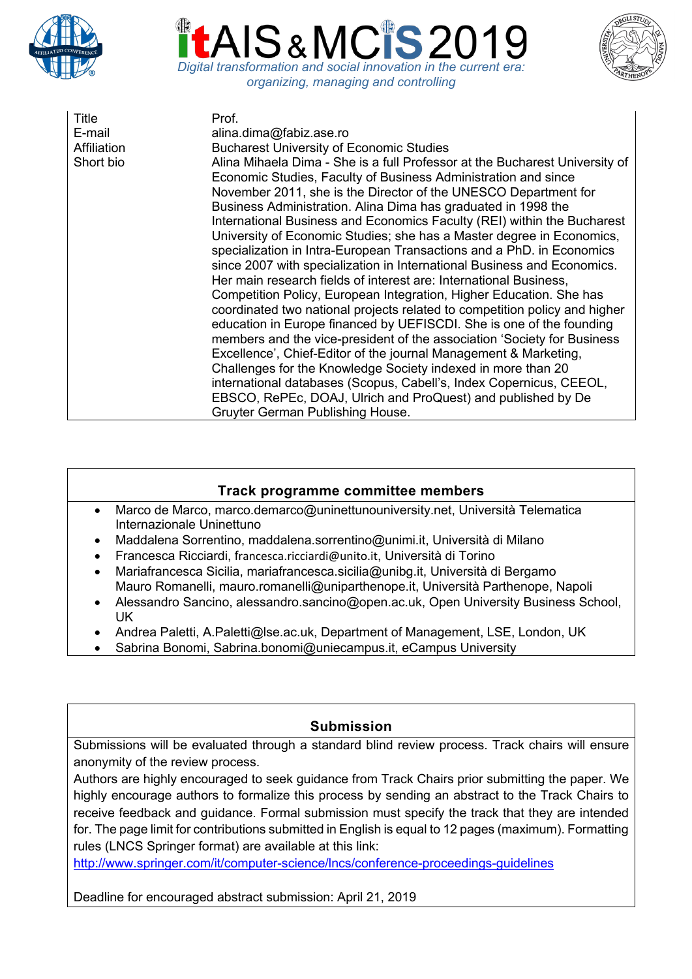





| Title<br>E-mail<br>Affiliation<br>Short bio | Prof.<br>alina.dima@fabiz.ase.ro<br><b>Bucharest University of Economic Studies</b><br>Alina Mihaela Dima - She is a full Professor at the Bucharest University of<br>Economic Studies, Faculty of Business Administration and since<br>November 2011, she is the Director of the UNESCO Department for<br>Business Administration. Alina Dima has graduated in 1998 the<br>International Business and Economics Faculty (REI) within the Bucharest<br>University of Economic Studies; she has a Master degree in Economics,<br>specialization in Intra-European Transactions and a PhD. in Economics<br>since 2007 with specialization in International Business and Economics.<br>Her main research fields of interest are: International Business,<br>Competition Policy, European Integration, Higher Education. She has<br>coordinated two national projects related to competition policy and higher<br>education in Europe financed by UEFISCDI. She is one of the founding<br>members and the vice-president of the association 'Society for Business<br>Excellence', Chief-Editor of the journal Management & Marketing,<br>Challenges for the Knowledge Society indexed in more than 20<br>international databases (Scopus, Cabell's, Index Copernicus, CEEOL,<br>EBSCO, RePEc, DOAJ, Ulrich and ProQuest) and published by De |
|---------------------------------------------|------------------------------------------------------------------------------------------------------------------------------------------------------------------------------------------------------------------------------------------------------------------------------------------------------------------------------------------------------------------------------------------------------------------------------------------------------------------------------------------------------------------------------------------------------------------------------------------------------------------------------------------------------------------------------------------------------------------------------------------------------------------------------------------------------------------------------------------------------------------------------------------------------------------------------------------------------------------------------------------------------------------------------------------------------------------------------------------------------------------------------------------------------------------------------------------------------------------------------------------------------------------------------------------------------------------------------------------|
|                                             | Gruyter German Publishing House.                                                                                                                                                                                                                                                                                                                                                                                                                                                                                                                                                                                                                                                                                                                                                                                                                                                                                                                                                                                                                                                                                                                                                                                                                                                                                                         |

## **Track programme committee members**

- Marco de Marco, marco.demarco@uninettunouniversity.net, Università Telematica Internazionale Uninettuno
- Maddalena Sorrentino, maddalena.sorrentino@unimi.it, Università di Milano
- Francesca Ricciardi, francesca.ricciardi@unito.it, Università di Torino
- Mariafrancesca Sicilia, mariafrancesca.sicilia@unibg.it, Università di Bergamo Mauro Romanelli, mauro.romanelli@uniparthenope.it, Università Parthenope, Napoli
- Alessandro Sancino, alessandro.sancino@open.ac.uk, Open University Business School, UK
- Andrea Paletti, A.Paletti@lse.ac.uk, Department of Management, LSE, London, UK
- Sabrina Bonomi, Sabrina.bonomi@uniecampus.it, eCampus University

## **Submission**

Submissions will be evaluated through a standard blind review process. Track chairs will ensure anonymity of the review process.

Authors are highly encouraged to seek guidance from Track Chairs prior submitting the paper. We highly encourage authors to formalize this process by sending an abstract to the Track Chairs to receive feedback and guidance. Formal submission must specify the track that they are intended for. The page limit for contributions submitted in English is equal to 12 pages (maximum). Formatting rules (LNCS Springer format) are available at this link:

http://www.springer.com/it/computer-science/lncs/conference-proceedings-guidelines

Deadline for encouraged abstract submission: April 21, 2019